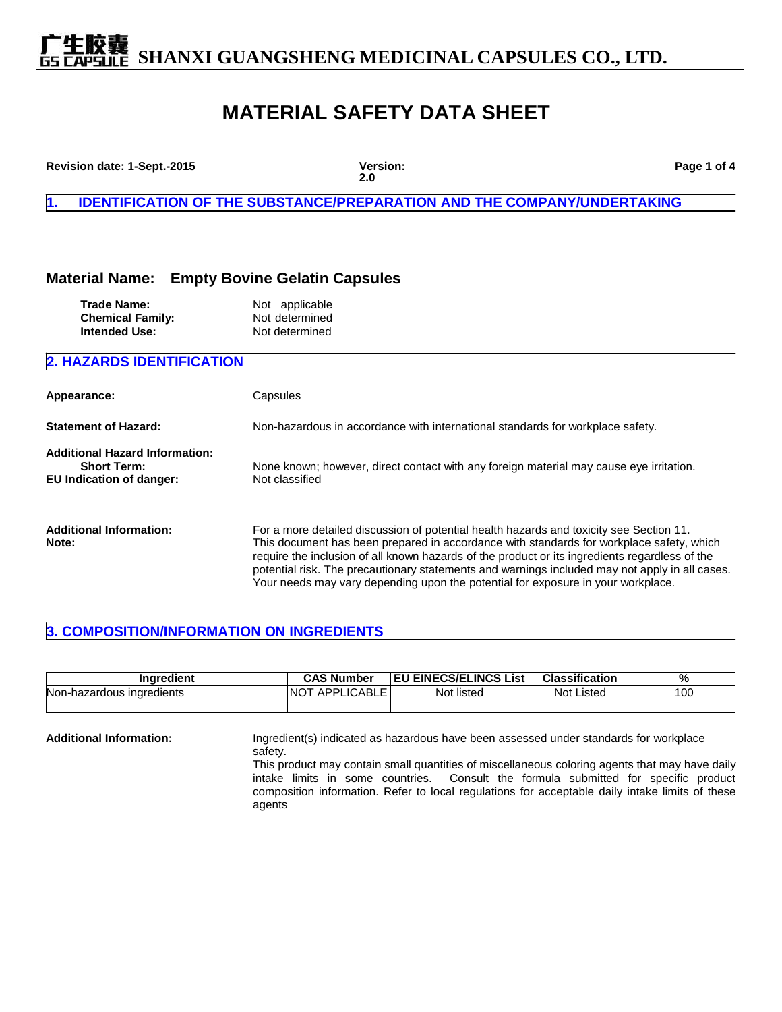### **MATERIAL SAFETY DATA SHEET**

| Revision date: 1-Sept.-2015                                                                    | Version:<br>2.0                                                                                                                                                                                                                                                                                                                                                                                                                                                             | Page 1 of 4 |  |
|------------------------------------------------------------------------------------------------|-----------------------------------------------------------------------------------------------------------------------------------------------------------------------------------------------------------------------------------------------------------------------------------------------------------------------------------------------------------------------------------------------------------------------------------------------------------------------------|-------------|--|
| 1.                                                                                             | <b>IDENTIFICATION OF THE SUBSTANCE/PREPARATION AND THE COMPANY/UNDERTAKING</b>                                                                                                                                                                                                                                                                                                                                                                                              |             |  |
| <b>Material Name:</b>                                                                          | <b>Empty Bovine Gelatin Capsules</b>                                                                                                                                                                                                                                                                                                                                                                                                                                        |             |  |
| <b>Trade Name:</b><br><b>Chemical Family:</b><br><b>Intended Use:</b>                          | Not applicable<br>Not determined<br>Not determined                                                                                                                                                                                                                                                                                                                                                                                                                          |             |  |
| <b>2. HAZARDS IDENTIFICATION</b>                                                               |                                                                                                                                                                                                                                                                                                                                                                                                                                                                             |             |  |
| Appearance:                                                                                    | Capsules                                                                                                                                                                                                                                                                                                                                                                                                                                                                    |             |  |
| <b>Statement of Hazard:</b>                                                                    | Non-hazardous in accordance with international standards for workplace safety.                                                                                                                                                                                                                                                                                                                                                                                              |             |  |
| <b>Additional Hazard Information:</b><br><b>Short Term:</b><br><b>EU Indication of danger:</b> | None known; however, direct contact with any foreign material may cause eye irritation.<br>Not classified                                                                                                                                                                                                                                                                                                                                                                   |             |  |
| <b>Additional Information:</b><br>Note:                                                        | For a more detailed discussion of potential health hazards and toxicity see Section 11.<br>This document has been prepared in accordance with standards for workplace safety, which<br>require the inclusion of all known hazards of the product or its ingredients regardless of the<br>potential risk. The precautionary statements and warnings included may not apply in all cases.<br>Your needs may vary depending upon the potential for exposure in your workplace. |             |  |

### **3. COMPOSITION/INFORMATION ON INGREDIENTS**

| Ingredient                     |                   | <b>CAS Number</b>     | <b>EU EINECS/ELINCS List</b>                                                                                                                                                                                                                                                                                                                                                      | <b>Classification</b> | %   |
|--------------------------------|-------------------|-----------------------|-----------------------------------------------------------------------------------------------------------------------------------------------------------------------------------------------------------------------------------------------------------------------------------------------------------------------------------------------------------------------------------|-----------------------|-----|
| Non-hazardous ingredients      |                   | <b>NOT APPLICABLE</b> | Not listed                                                                                                                                                                                                                                                                                                                                                                        | Not Listed            | 100 |
| <b>Additional Information:</b> | safety.<br>agents |                       | Ingredient(s) indicated as hazardous have been assessed under standards for workplace<br>This product may contain small quantities of miscellaneous coloring agents that may have daily<br>intake limits in some countries. Consult the formula submitted for specific product<br>composition information. Refer to local regulations for acceptable daily intake limits of these |                       |     |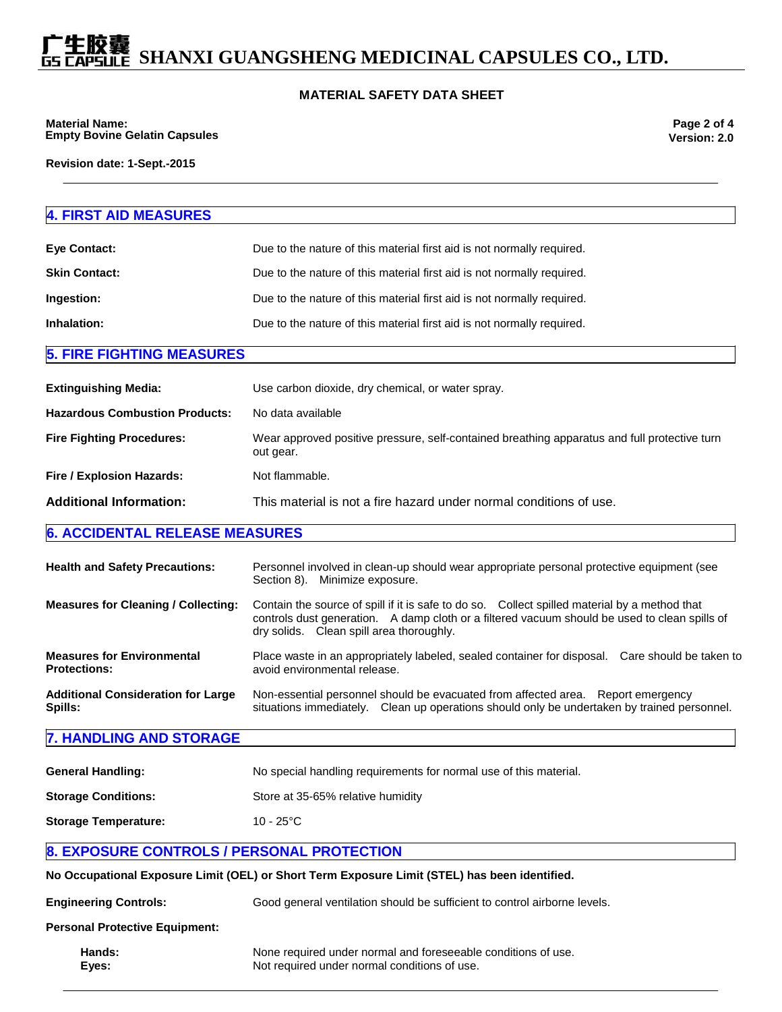#### **MATERIAL SAFETY DATA SHEET**

**Material Name: Empty Bovine Gelatin Capsules**

**Page 2 of 4 Version: 2.0**

**Revision date: 1-Sept.-2015**

### **4. FIRST AID MEASURES Eye Contact:** Due to the nature of this material first aid is not normally required. **Skin Contact: Due to the nature of this material first aid is not normally required. Ingestion:** Due to the nature of this material first aid is not normally required. **Inhalation:** Due to the nature of this material first aid is not normally required. **5. FIRE FIGHTING MEASURES Extinguishing Media:** Use carbon dioxide, dry chemical, or water spray. **Hazardous Combustion Products: No data available Fire Fighting Procedures:** Wear approved positive pressure, self-contained breathing apparatus and full protective turn out gear. **Fire / Explosion Hazards:** Not flammable. **Additional Information:** This material is not a fire hazard under normal conditions of use. **6. ACCIDENTAL RELEASE MEASURES Health and Safety Precautions:** Personnel involved in clean-up should wear appropriate personal protective equipment (see Section 8). Minimize exposure. **Measures for Cleaning / Collecting:** Contain the source of spill if it is safe to do so. Collect spilled material by a method that controls dust generation. A damp cloth or a filtered vacuum should be used to clean spills of dry solids. Clean spill area thoroughly. **Measures for Environmental Protections:** Place waste in an appropriately labeled, sealed container for disposal. Care should be taken to avoid environmental release. **Additional Consideration for Large Spills:** Non-essential personnel should be evacuated from affected area. Report emergency situations immediately. Clean up operations should only be undertaken by trained personnel. **7. HANDLING AND STORAGE General Handling:** No special handling requirements for normal use of this material. **Storage Conditions:** Store at 35-65% relative humidity **Storage Temperature:** 10 - 25°C **8. EXPOSURE CONTROLS / PERSONAL PROTECTION No Occupational Exposure Limit (OEL) or Short Term Exposure Limit (STEL) has been identified. Engineering Controls:** Good general ventilation should be sufficient to control airborne levels. **Personal Protective Equipment: Hands:** None required under normal and foreseeable conditions of use. **Eyes:** Not required under normal conditions of use.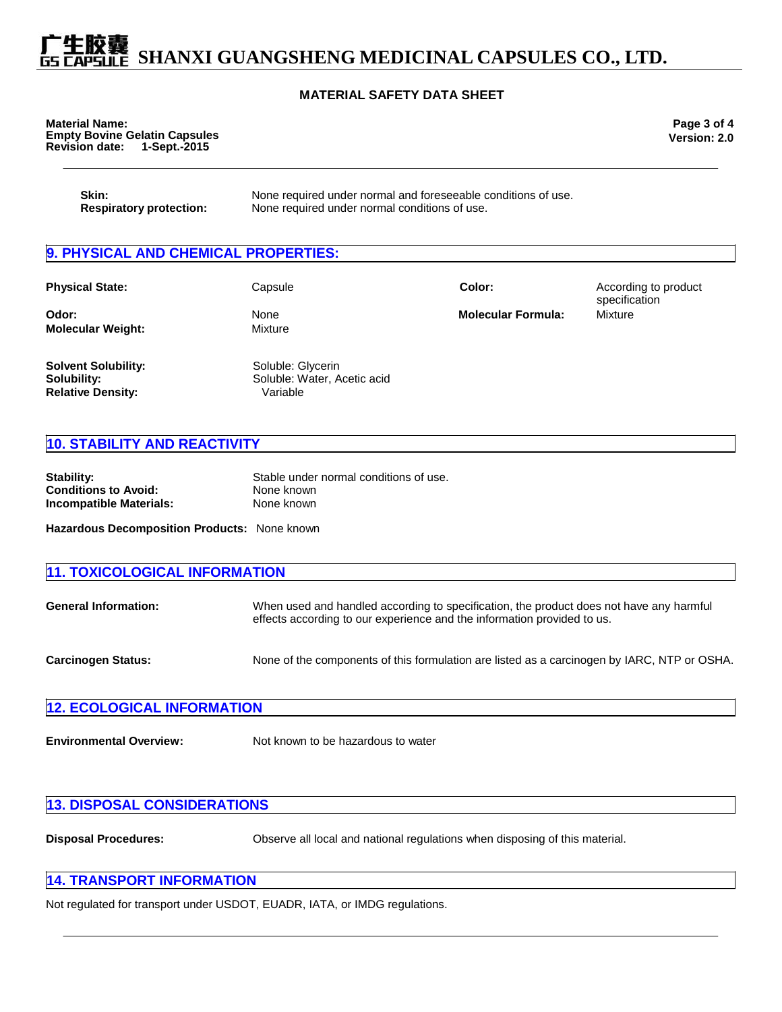#### **MATERIAL SAFETY DATA SHEET**

| <b>Material Name:</b> |                                      |
|-----------------------|--------------------------------------|
|                       | <b>Empty Bovine Gelatin Capsules</b> |
| <b>Revision date:</b> | 1-Sept.-2015                         |

**Page 3 of 4 Version: 2.0**

| Skin:                          | None required under normal and foreseeable conditions of use. |
|--------------------------------|---------------------------------------------------------------|
| <b>Respiratory protection:</b> | None required under normal conditions of use.                 |

#### **9. PHYSICAL AND CHEMICAL PROPERTIES:**

| <b>Physical State:</b>                                                | Capsule                                                      | Color:                    | According to product<br>specification |
|-----------------------------------------------------------------------|--------------------------------------------------------------|---------------------------|---------------------------------------|
| Odor:<br><b>Molecular Weight:</b>                                     | None<br>Mixture                                              | <b>Molecular Formula:</b> | Mixture                               |
| <b>Solvent Solubility:</b><br>Solubility:<br><b>Relative Density:</b> | Soluble: Glycerin<br>Soluble: Water, Acetic acid<br>Variable |                           |                                       |

#### **10. STABILITY AND REACTIVITY**

| Stable under normal conditions of use. |
|----------------------------------------|
| None known                             |
| None known                             |
|                                        |

**Hazardous Decomposition Products:** None known

| <b>11. TOXICOLOGICAL INFORMATION</b> |                                                                                                                                                                    |  |
|--------------------------------------|--------------------------------------------------------------------------------------------------------------------------------------------------------------------|--|
| <b>General Information:</b>          | When used and handled according to specification, the product does not have any harmful<br>effects according to our experience and the information provided to us. |  |
| <b>Carcinogen Status:</b>            | None of the components of this formulation are listed as a carcinogen by IARC, NTP or OSHA.                                                                        |  |
| <b>12. ECOLOGICAL INFORMATION</b>    |                                                                                                                                                                    |  |

**Environmental Overview:** Not known to be hazardous to water

#### **13. DISPOSAL CONSIDERATIONS**

**Disposal Procedures:** Observe all local and national regulations when disposing of this material.

#### **14. TRANSPORT INFORMATION**

Not regulated for transport under USDOT, EUADR, IATA, or IMDG regulations.